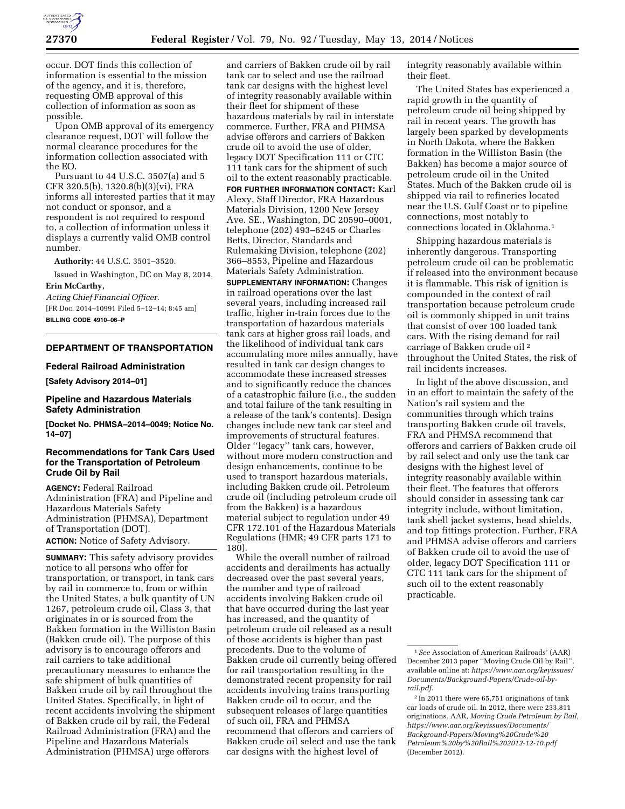

occur. DOT finds this collection of information is essential to the mission of the agency, and it is, therefore, requesting OMB approval of this collection of information as soon as possible.

Upon OMB approval of its emergency clearance request, DOT will follow the normal clearance procedures for the information collection associated with the EO.

Pursuant to 44 U.S.C. 3507(a) and 5 CFR 320.5(b), 1320.8(b)(3)(vi), FRA informs all interested parties that it may not conduct or sponsor, and a respondent is not required to respond to, a collection of information unless it displays a currently valid OMB control number.

**Authority:** 44 U.S.C. 3501–3520.

Issued in Washington, DC on May 8, 2014. **Erin McCarthy,** 

*Acting Chief Financial Officer.*  [FR Doc. 2014–10991 Filed 5–12–14; 8:45 am] **BILLING CODE 4910–06–P** 

# **DEPARTMENT OF TRANSPORTATION**

#### **Federal Railroad Administration**

**[Safety Advisory 2014–01]** 

## **Pipeline and Hazardous Materials Safety Administration**

**[Docket No. PHMSA–2014–0049; Notice No. 14–07]** 

# **Recommendations for Tank Cars Used for the Transportation of Petroleum Crude Oil by Rail**

**AGENCY:** Federal Railroad Administration (FRA) and Pipeline and Hazardous Materials Safety Administration (PHMSA), Department of Transportation (DOT). **ACTION:** Notice of Safety Advisory.

**SUMMARY:** This safety advisory provides notice to all persons who offer for transportation, or transport, in tank cars by rail in commerce to, from or within the United States, a bulk quantity of UN 1267, petroleum crude oil, Class 3, that originates in or is sourced from the Bakken formation in the Williston Basin (Bakken crude oil). The purpose of this advisory is to encourage offerors and rail carriers to take additional precautionary measures to enhance the safe shipment of bulk quantities of Bakken crude oil by rail throughout the United States. Specifically, in light of recent accidents involving the shipment of Bakken crude oil by rail, the Federal Railroad Administration (FRA) and the Pipeline and Hazardous Materials Administration (PHMSA) urge offerors

and carriers of Bakken crude oil by rail tank car to select and use the railroad tank car designs with the highest level of integrity reasonably available within their fleet for shipment of these hazardous materials by rail in interstate commerce. Further, FRA and PHMSA advise offerors and carriers of Bakken crude oil to avoid the use of older, legacy DOT Specification 111 or CTC 111 tank cars for the shipment of such oil to the extent reasonably practicable. **FOR FURTHER INFORMATION CONTACT:** Karl Alexy, Staff Director, FRA Hazardous Materials Division, 1200 New Jersey Ave. SE., Washington, DC 20590–0001, telephone (202) 493–6245 or Charles Betts, Director, Standards and Rulemaking Division, telephone (202) 366–8553, Pipeline and Hazardous Materials Safety Administration.

**SUPPLEMENTARY INFORMATION:** Changes in railroad operations over the last several years, including increased rail traffic, higher in-train forces due to the transportation of hazardous materials tank cars at higher gross rail loads, and the likelihood of individual tank cars accumulating more miles annually, have resulted in tank car design changes to accommodate these increased stresses and to significantly reduce the chances of a catastrophic failure (i.e., the sudden and total failure of the tank resulting in a release of the tank's contents). Design changes include new tank car steel and improvements of structural features. Older ''legacy'' tank cars, however, without more modern construction and design enhancements, continue to be used to transport hazardous materials, including Bakken crude oil. Petroleum crude oil (including petroleum crude oil from the Bakken) is a hazardous material subject to regulation under 49 CFR 172.101 of the Hazardous Materials Regulations (HMR; 49 CFR parts 171 to 180).

While the overall number of railroad accidents and derailments has actually decreased over the past several years, the number and type of railroad accidents involving Bakken crude oil that have occurred during the last year has increased, and the quantity of petroleum crude oil released as a result of those accidents is higher than past precedents. Due to the volume of Bakken crude oil currently being offered for rail transportation resulting in the demonstrated recent propensity for rail accidents involving trains transporting Bakken crude oil to occur, and the subsequent releases of large quantities of such oil, FRA and PHMSA recommend that offerors and carriers of Bakken crude oil select and use the tank car designs with the highest level of

integrity reasonably available within their fleet.

The United States has experienced a rapid growth in the quantity of petroleum crude oil being shipped by rail in recent years. The growth has largely been sparked by developments in North Dakota, where the Bakken formation in the Williston Basin (the Bakken) has become a major source of petroleum crude oil in the United States. Much of the Bakken crude oil is shipped via rail to refineries located near the U.S. Gulf Coast or to pipeline connections, most notably to connections located in Oklahoma.1

Shipping hazardous materials is inherently dangerous. Transporting petroleum crude oil can be problematic if released into the environment because it is flammable. This risk of ignition is compounded in the context of rail transportation because petroleum crude oil is commonly shipped in unit trains that consist of over 100 loaded tank cars. With the rising demand for rail carriage of Bakken crude oil 2 throughout the United States, the risk of rail incidents increases.

In light of the above discussion, and in an effort to maintain the safety of the Nation's rail system and the communities through which trains transporting Bakken crude oil travels, FRA and PHMSA recommend that offerors and carriers of Bakken crude oil by rail select and only use the tank car designs with the highest level of integrity reasonably available within their fleet. The features that offerors should consider in assessing tank car integrity include, without limitation, tank shell jacket systems, head shields, and top fittings protection. Further, FRA and PHMSA advise offerors and carriers of Bakken crude oil to avoid the use of older, legacy DOT Specification 111 or CTC 111 tank cars for the shipment of such oil to the extent reasonably practicable.

<sup>1</sup>*See* Association of American Railroads' (AAR) December 2013 paper ''Moving Crude Oil by Rail'', available online at: *[https://www.aar.org/keyissues/](https://www.aar.org/keyissues/Documents/Background-Papers/Crude-oil-by-rail.pdf) [Documents/Background-Papers/Crude-oil-by](https://www.aar.org/keyissues/Documents/Background-Papers/Crude-oil-by-rail.pdf)[rail.pdf](https://www.aar.org/keyissues/Documents/Background-Papers/Crude-oil-by-rail.pdf)*.

<sup>2</sup> In 2011 there were 65,751 originations of tank car loads of crude oil. In 2012, there were 233,811 originations. AAR, *Moving Crude Petroleum by Rail, [https://www.aar.org/keyissues/Documents/](https://www.aar.org/keyissues/Documents/Background-Papers/Moving%20Crude%20Petroleum%20by%20Rail%202012-12-10.pdf) [Background-Papers/Moving%20Crude%20](https://www.aar.org/keyissues/Documents/Background-Papers/Moving%20Crude%20Petroleum%20by%20Rail%202012-12-10.pdf) [Petroleum%20by%20Rail%202012-12-10.pdf](https://www.aar.org/keyissues/Documents/Background-Papers/Moving%20Crude%20Petroleum%20by%20Rail%202012-12-10.pdf)*  (December 2012).